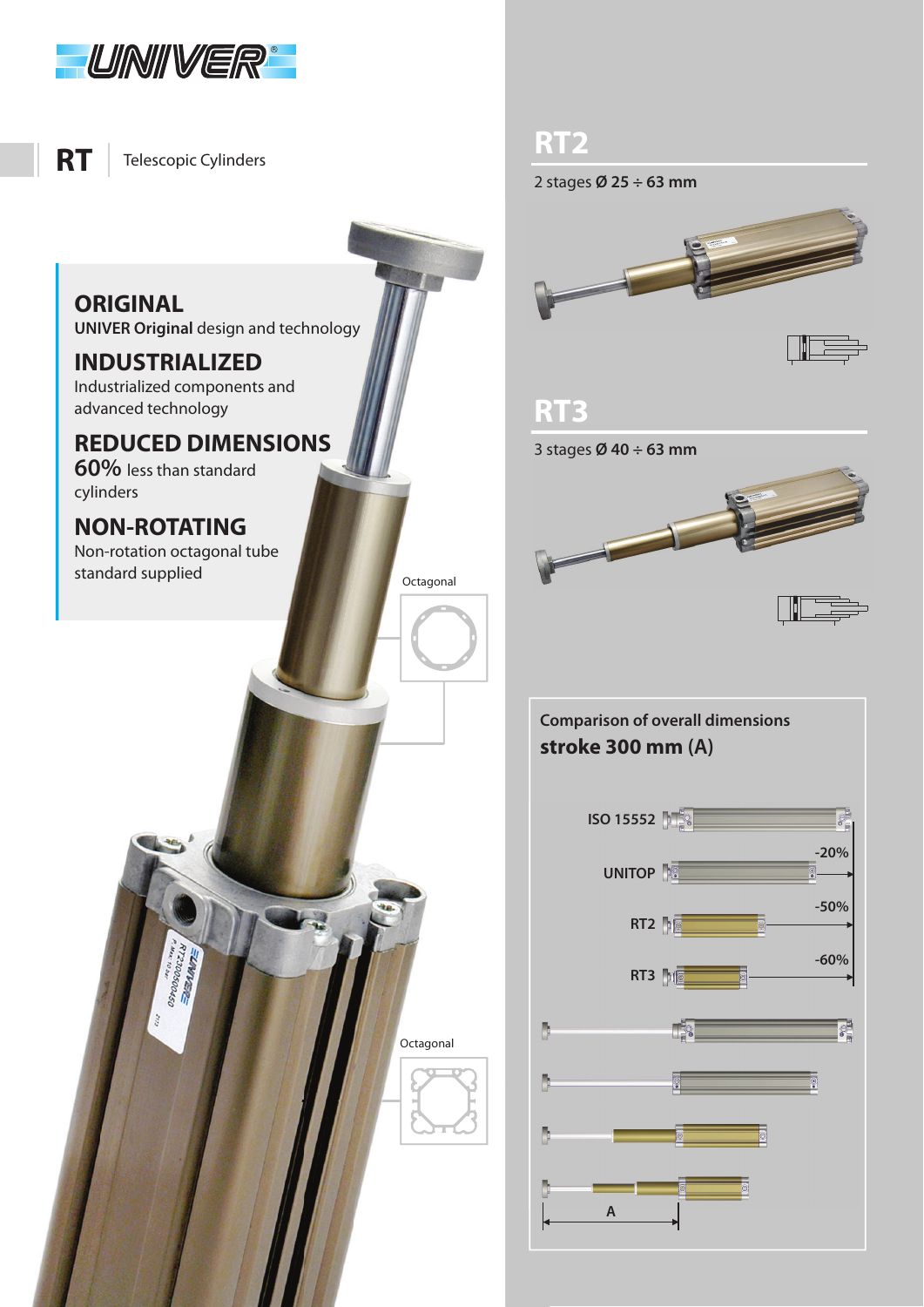

Telescopic Cylinders

**ORIGINAL ORIGINAL UNIVER Original** design and technology

**INDUSTRIALIZED** Industrialized components and advanced technology

**60%** less than standard

cylinders

Non-rotation octagonal tube standard supplied

> N12300500450 **STANDIES**

**RT2** 2 stages **Ø 25 ÷ 63 mm**



**Octagonal** 

Octagonal

**RT3** 3 stages **Ø 40 ÷ 63 mm**